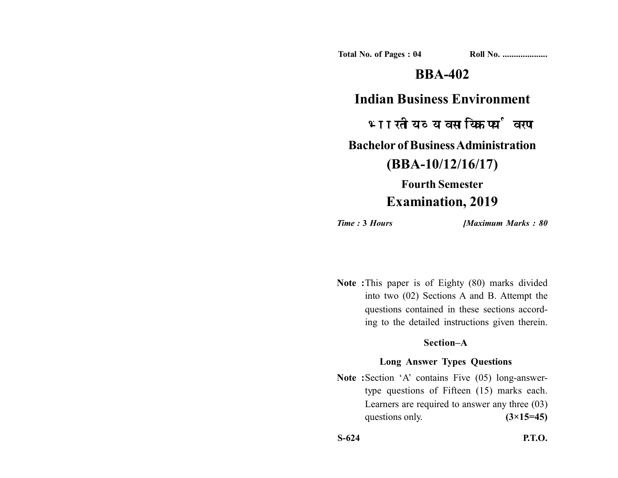**Total No. of Pages : 04 Roll No. ....................**

## **BBA-402**

### **Indian Business Environment**

भारतीय व्यावसायिक पर्यावरण

**Bachelor of Business Administration**

**(BBA-10/12/16/17)**

# **Fourth Semester Examination, 2019**

*Time :* **3** *Hours [Maximum Marks : 80*

**Note :**This paper is of Eighty (80) marks divided into two (02) Sections A and B. Attempt the questions contained in these sections according to the detailed instructions given therein.

#### **Section–A**

#### **Long Answer Types Questions**

Note :Section 'A' contains Five (05) long-answertype questions of Fifteen (15) marks each. Learners are required to answer any three (03) questions only.  $(3\times15=45)$ 

**S-624 P.T.O.**